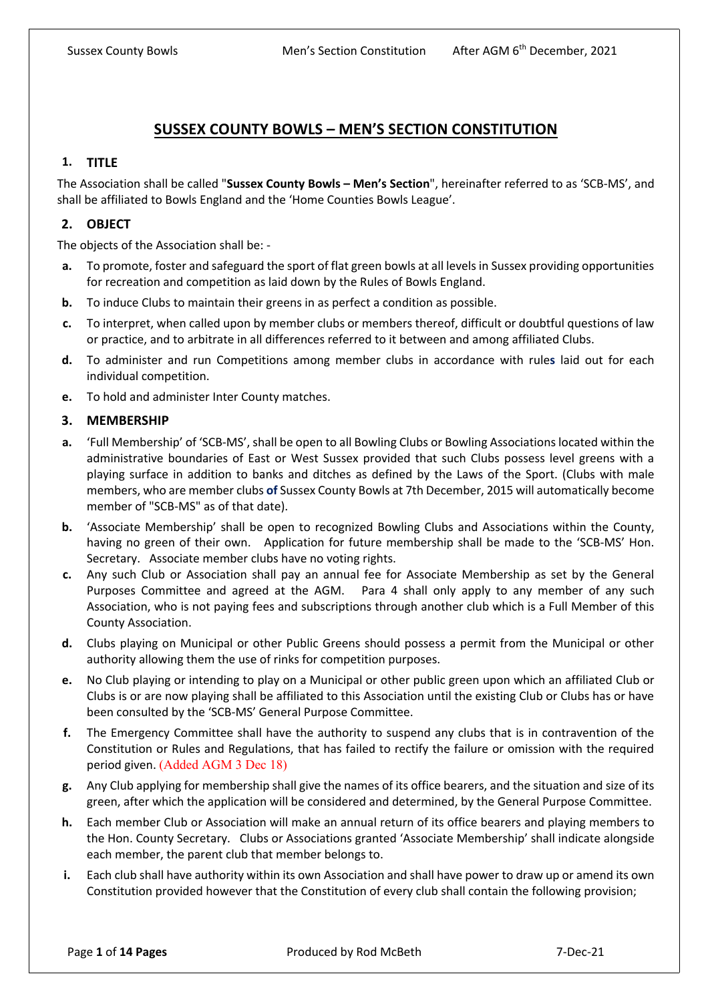# **SUSSEX COUNTY BOWLS – MEN'S SECTION CONSTITUTION**

### **1. TITLE**

The Association shall be called "**Sussex County Bowls – Men's Section**", hereinafter referred to as 'SCB-MS', and shall be affiliated to Bowls England and the 'Home Counties Bowls League'.

### **2. OBJECT**

The objects of the Association shall be: -

- **a.** To promote, foster and safeguard the sport of flat green bowls at all levels in Sussex providing opportunities for recreation and competition as laid down by the Rules of Bowls England.
- **b.** To induce Clubs to maintain their greens in as perfect a condition as possible.
- **c.** To interpret, when called upon by member clubs or members thereof, difficult or doubtful questions of law or practice, and to arbitrate in all differences referred to it between and among affiliated Clubs.
- **d.** To administer and run Competitions among member clubs in accordance with rule**s** laid out for each individual competition.
- **e.** To hold and administer Inter County matches.

### **3. MEMBERSHIP**

- **a.** 'Full Membership' of 'SCB-MS', shall be open to all Bowling Clubs or Bowling Associations located within the administrative boundaries of East or West Sussex provided that such Clubs possess level greens with a playing surface in addition to banks and ditches as defined by the Laws of the Sport. (Clubs with male members, who are member clubs **of** Sussex County Bowls at 7th December, 2015 will automatically become member of "SCB-MS" as of that date).
- **b.** 'Associate Membership' shall be open to recognized Bowling Clubs and Associations within the County, having no green of their own. Application for future membership shall be made to the 'SCB-MS' Hon. Secretary. Associate member clubs have no voting rights.
- **c.** Any such Club or Association shall pay an annual fee for Associate Membership as set by the General Purposes Committee and agreed at the AGM. Para 4 shall only apply to any member of any such Association, who is not paying fees and subscriptions through another club which is a Full Member of this County Association.
- **d.** Clubs playing on Municipal or other Public Greens should possess a permit from the Municipal or other authority allowing them the use of rinks for competition purposes.
- **e.** No Club playing or intending to play on a Municipal or other public green upon which an affiliated Club or Clubs is or are now playing shall be affiliated to this Association until the existing Club or Clubs has or have been consulted by the 'SCB-MS' General Purpose Committee.
- **f.** The Emergency Committee shall have the authority to suspend any clubs that is in contravention of the Constitution or Rules and Regulations, that has failed to rectify the failure or omission with the required period given. (Added AGM 3 Dec 18)
- **g.** Any Club applying for membership shall give the names of its office bearers, and the situation and size of its green, after which the application will be considered and determined, by the General Purpose Committee.
- **h.** Each member Club or Association will make an annual return of its office bearers and playing members to the Hon. County Secretary. Clubs or Associations granted 'Associate Membership' shall indicate alongside each member, the parent club that member belongs to.
- **i.** Each club shall have authority within its own Association and shall have power to draw up or amend its own Constitution provided however that the Constitution of every club shall contain the following provision;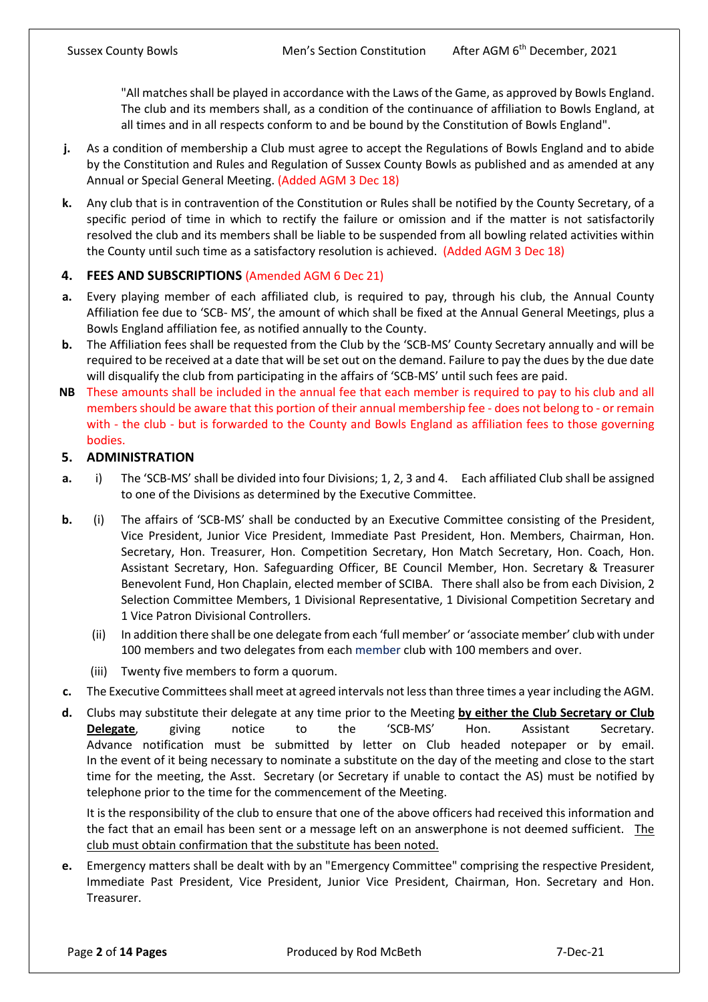"All matches shall be played in accordance with the Laws of the Game, as approved by Bowls England. The club and its members shall, as a condition of the continuance of affiliation to Bowls England, at all times and in all respects conform to and be bound by the Constitution of Bowls England".

- **j.** As a condition of membership a Club must agree to accept the Regulations of Bowls England and to abide by the Constitution and Rules and Regulation of Sussex County Bowls as published and as amended at any Annual or Special General Meeting. (Added AGM 3 Dec 18)
- **k.** Any club that is in contravention of the Constitution or Rules shall be notified by the County Secretary, of a specific period of time in which to rectify the failure or omission and if the matter is not satisfactorily resolved the club and its members shall be liable to be suspended from all bowling related activities within the County until such time as a satisfactory resolution is achieved. (Added AGM 3 Dec 18)

# **4. FEES AND SUBSCRIPTIONS** (Amended AGM 6 Dec 21)

- **a.** Every playing member of each affiliated club, is required to pay, through his club, the Annual County Affiliation fee due to 'SCB- MS', the amount of which shall be fixed at the Annual General Meetings, plus a Bowls England affiliation fee, as notified annually to the County.
- **b.** The Affiliation fees shall be requested from the Club by the 'SCB-MS' County Secretary annually and will be required to be received at a date that will be set out on the demand. Failure to pay the dues by the due date will disqualify the club from participating in the affairs of 'SCB-MS' until such fees are paid.
- **NB** These amounts shall be included in the annual fee that each member is required to pay to his club and all members should be aware that this portion of their annual membership fee - does not belong to - or remain with - the club - but is forwarded to the County and Bowls England as affiliation fees to those governing bodies.

### **5. ADMINISTRATION**

- **a.** i) The 'SCB-MS' shall be divided into four Divisions; 1, 2, 3 and 4. Each affiliated Club shall be assigned to one of the Divisions as determined by the Executive Committee.
- **b.** (i) The affairs of 'SCB-MS' shall be conducted by an Executive Committee consisting of the President, Vice President, Junior Vice President, Immediate Past President, Hon. Members, Chairman, Hon. Secretary, Hon. Treasurer, Hon. Competition Secretary, Hon Match Secretary, Hon. Coach, Hon. Assistant Secretary, Hon. Safeguarding Officer, BE Council Member, Hon. Secretary & Treasurer Benevolent Fund, Hon Chaplain, elected member of SCIBA. There shall also be from each Division, 2 Selection Committee Members, 1 Divisional Representative, 1 Divisional Competition Secretary and 1 Vice Patron Divisional Controllers.
	- (ii) In addition there shall be one delegate from each 'full member' or 'associate member' club with under 100 members and two delegates from each member club with 100 members and over.
	- (iii) Twenty five members to form a quorum.
- **c.** The Executive Committees shall meet at agreed intervals not less than three times a year including the AGM.
- **d.** Clubs may substitute their delegate at any time prior to the Meeting **by either the Club Secretary or Club Delegate**, giving notice to the 'SCB-MS' Hon. Assistant Secretary. Advance notification must be submitted by letter on Club headed notepaper or by email. In the event of it being necessary to nominate a substitute on the day of the meeting and close to the start time for the meeting, the Asst. Secretary (or Secretary if unable to contact the AS) must be notified by telephone prior to the time for the commencement of the Meeting.

It is the responsibility of the club to ensure that one of the above officers had received this information and the fact that an email has been sent or a message left on an answerphone is not deemed sufficient. The club must obtain confirmation that the substitute has been noted.

**e.** Emergency matters shall be dealt with by an "Emergency Committee" comprising the respective President, Immediate Past President, Vice President, Junior Vice President, Chairman, Hon. Secretary and Hon. Treasurer.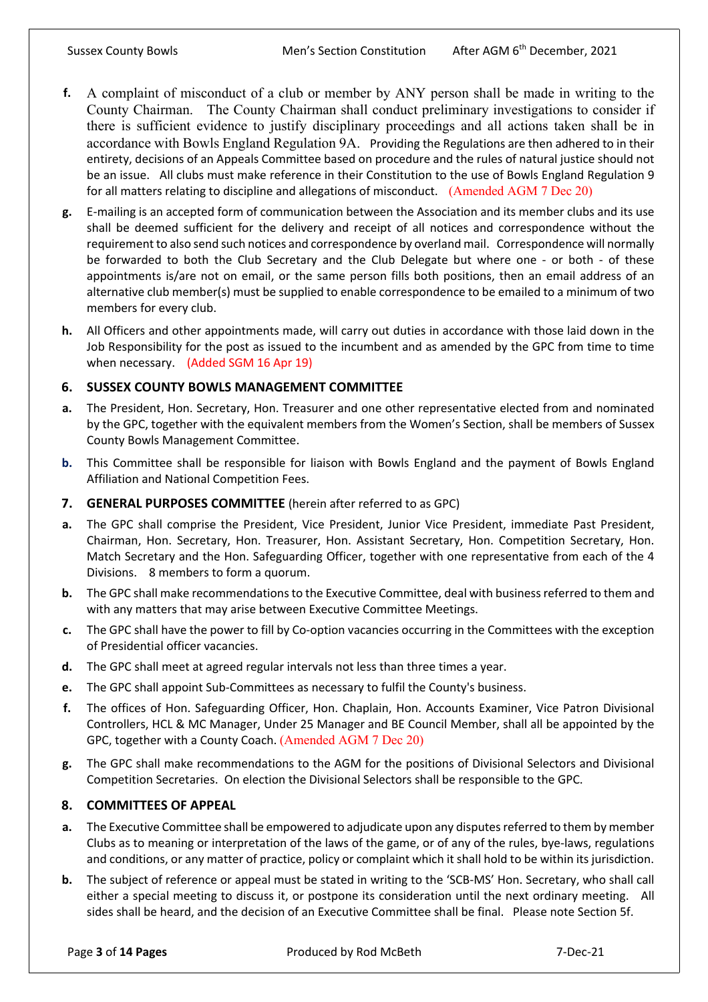- **f.** A complaint of misconduct of a club or member by ANY person shall be made in writing to the County Chairman. The County Chairman shall conduct preliminary investigations to consider if there is sufficient evidence to justify disciplinary proceedings and all actions taken shall be in accordance with Bowls England Regulation 9A. Providing the Regulations are then adhered to in their entirety, decisions of an Appeals Committee based on procedure and the rules of natural justice should not be an issue. All clubs must make reference in their Constitution to the use of Bowls England Regulation 9 for all matters relating to discipline and allegations of misconduct. (Amended AGM 7 Dec 20)
- **g.** E-mailing is an accepted form of communication between the Association and its member clubs and its use shall be deemed sufficient for the delivery and receipt of all notices and correspondence without the requirement to also send such notices and correspondence by overland mail. Correspondence will normally be forwarded to both the Club Secretary and the Club Delegate but where one - or both - of these appointments is/are not on email, or the same person fills both positions, then an email address of an alternative club member(s) must be supplied to enable correspondence to be emailed to a minimum of two members for every club.
- **h.** All Officers and other appointments made, will carry out duties in accordance with those laid down in the Job Responsibility for the post as issued to the incumbent and as amended by the GPC from time to time when necessary. (Added SGM 16 Apr 19)

# **6. SUSSEX COUNTY BOWLS MANAGEMENT COMMITTEE**

- **a.** The President, Hon. Secretary, Hon. Treasurer and one other representative elected from and nominated by the GPC, together with the equivalent members from the Women's Section, shall be members of Sussex County Bowls Management Committee.
- **b.** This Committee shall be responsible for liaison with Bowls England and the payment of Bowls England Affiliation and National Competition Fees.
- **7. GENERAL PURPOSES COMMITTEE** (herein after referred to as GPC)
- **a.** The GPC shall comprise the President, Vice President, Junior Vice President, immediate Past President, Chairman, Hon. Secretary, Hon. Treasurer, Hon. Assistant Secretary, Hon. Competition Secretary, Hon. Match Secretary and the Hon. Safeguarding Officer, together with one representative from each of the 4 Divisions. 8 members to form a quorum.
- **b.** The GPC shall make recommendations to the Executive Committee, deal with business referred to them and with any matters that may arise between Executive Committee Meetings.
- **c.** The GPC shall have the power to fill by Co-option vacancies occurring in the Committees with the exception of Presidential officer vacancies.
- **d.** The GPC shall meet at agreed regular intervals not less than three times a year.
- **e.** The GPC shall appoint Sub-Committees as necessary to fulfil the County's business.
- **f.** The offices of Hon. Safeguarding Officer, Hon. Chaplain, Hon. Accounts Examiner, Vice Patron Divisional Controllers, HCL & MC Manager, Under 25 Manager and BE Council Member, shall all be appointed by the GPC, together with a County Coach. (Amended AGM 7 Dec 20)
- **g.** The GPC shall make recommendations to the AGM for the positions of Divisional Selectors and Divisional Competition Secretaries. On election the Divisional Selectors shall be responsible to the GPC.

# **8. COMMITTEES OF APPEAL**

- **a.** The Executive Committee shall be empowered to adjudicate upon any disputes referred to them by member Clubs as to meaning or interpretation of the laws of the game, or of any of the rules, bye-laws, regulations and conditions, or any matter of practice, policy or complaint which it shall hold to be within its jurisdiction.
- **b.** The subject of reference or appeal must be stated in writing to the 'SCB-MS' Hon. Secretary, who shall call either a special meeting to discuss it, or postpone its consideration until the next ordinary meeting. All sides shall be heard, and the decision of an Executive Committee shall be final. Please note Section 5f.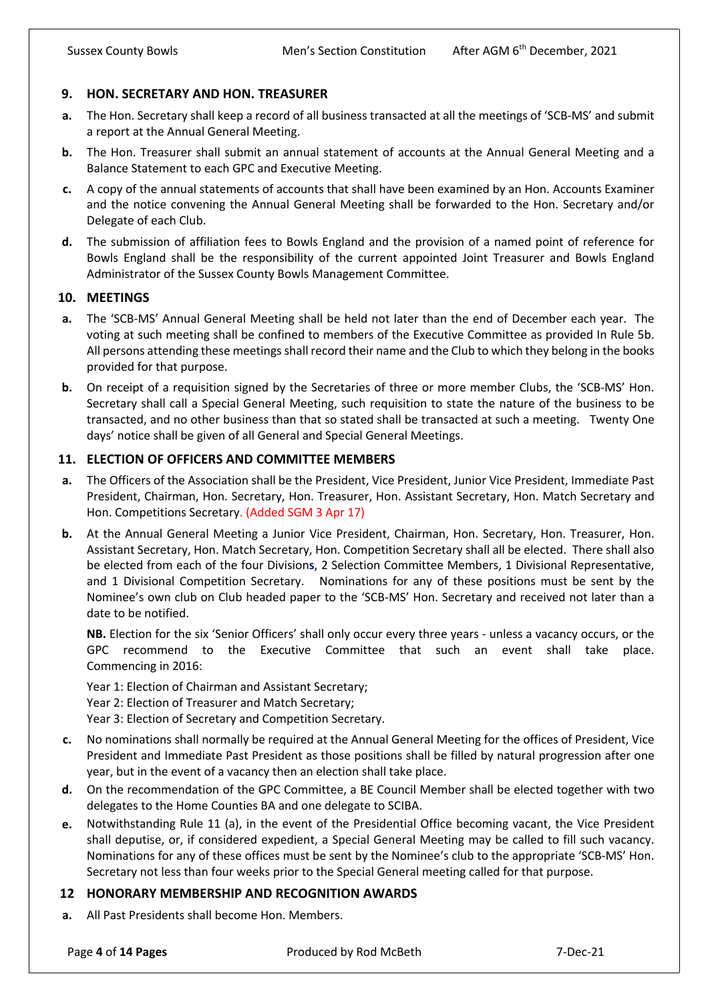### **9. HON. SECRETARY AND HON. TREASURER**

- **a.** The Hon. Secretary shall keep a record of all business transacted at all the meetings of 'SCB-MS' and submit a report at the Annual General Meeting.
- **b.** The Hon. Treasurer shall submit an annual statement of accounts at the Annual General Meeting and a Balance Statement to each GPC and Executive Meeting.
- **c.** A copy of the annual statements of accounts that shall have been examined by an Hon. Accounts Examiner and the notice convening the Annual General Meeting shall be forwarded to the Hon. Secretary and/or Delegate of each Club.
- **d.** The submission of affiliation fees to Bowls England and the provision of a named point of reference for Bowls England shall be the responsibility of the current appointed Joint Treasurer and Bowls England Administrator of the Sussex County Bowls Management Committee.

### **10. MEETINGS**

- **a.** The 'SCB-MS' Annual General Meeting shall be held not later than the end of December each year. The voting at such meeting shall be confined to members of the Executive Committee as provided In Rule 5b. All persons attending these meetings shall record their name and the Club to which they belong in the books provided for that purpose.
- **b.** On receipt of a requisition signed by the Secretaries of three or more member Clubs, the 'SCB-MS' Hon. Secretary shall call a Special General Meeting, such requisition to state the nature of the business to be transacted, and no other business than that so stated shall be transacted at such a meeting. Twenty One days' notice shall be given of all General and Special General Meetings.

### **11. ELECTION OF OFFICERS AND COMMITTEE MEMBERS**

- **a.** The Officers of the Association shall be the President, Vice President, Junior Vice President, Immediate Past President, Chairman, Hon. Secretary, Hon. Treasurer, Hon. Assistant Secretary, Hon. Match Secretary and Hon. Competitions Secretary. (Added SGM 3 Apr 17)
- **b.** At the Annual General Meeting a Junior Vice President, Chairman, Hon. Secretary, Hon. Treasurer, Hon. Assistant Secretary, Hon. Match Secretary, Hon. Competition Secretary shall all be elected. There shall also be elected from each of the four Division**s**, 2 Selection Committee Members, 1 Divisional Representative, and 1 Divisional Competition Secretary. Nominations for any of these positions must be sent by the Nominee's own club on Club headed paper to the 'SCB-MS' Hon. Secretary and received not later than a date to be notified.

**NB.** Election for the six 'Senior Officers' shall only occur every three years - unless a vacancy occurs, or the GPC recommend to the Executive Committee that such an event shall take place. Commencing in 2016:

Year 1: Election of Chairman and Assistant Secretary; Year 2: Election of Treasurer and Match Secretary; Year 3: Election of Secretary and Competition Secretary.

- **c.** No nominations shall normally be required at the Annual General Meeting for the offices of President, Vice President and Immediate Past President as those positions shall be filled by natural progression after one year, but in the event of a vacancy then an election shall take place.
- **d.** On the recommendation of the GPC Committee, a BE Council Member shall be elected together with two delegates to the Home Counties BA and one delegate to SCIBA.
- **e.** Notwithstanding Rule 11 (a), in the event of the Presidential Office becoming vacant, the Vice President shall deputise, or, if considered expedient, a Special General Meeting may be called to fill such vacancy. Nominations for any of these offices must be sent by the Nominee's club to the appropriate 'SCB-MS' Hon. Secretary not less than four weeks prior to the Special General meeting called for that purpose.

#### **12 HONORARY MEMBERSHIP AND RECOGNITION AWARDS**

**a.** All Past Presidents shall become Hon. Members.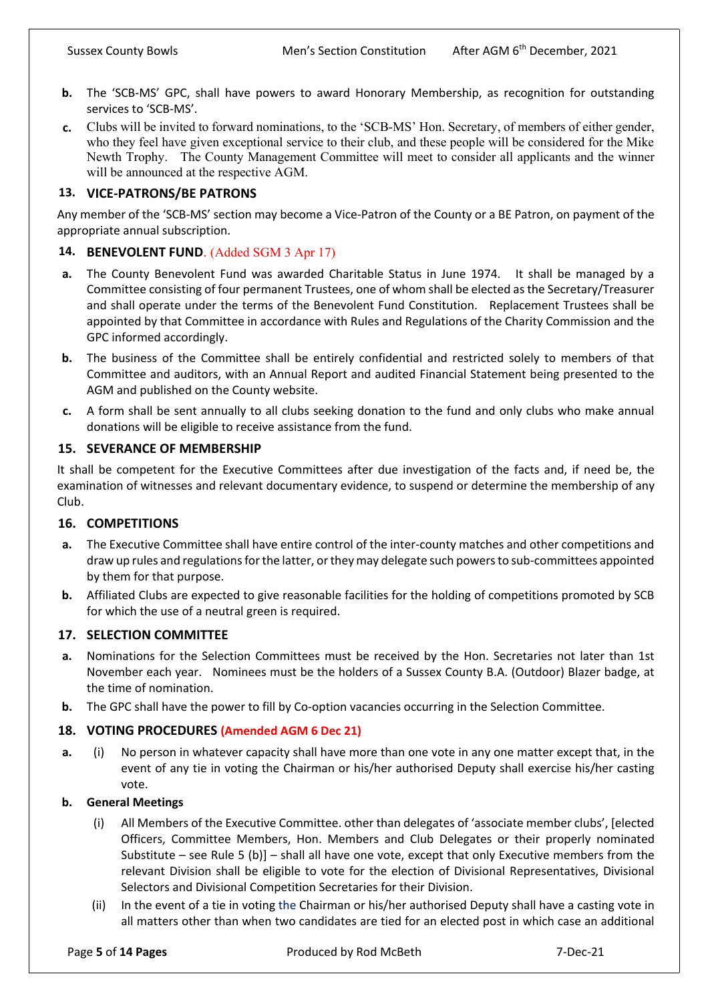- **b.** The 'SCB-MS' GPC, shall have powers to award Honorary Membership, as recognition for outstanding services to 'SCB-MS'.
- **c.** Clubs will be invited to forward nominations, to the 'SCB-MS' Hon. Secretary, of members of either gender, who they feel have given exceptional service to their club, and these people will be considered for the Mike Newth Trophy. The County Management Committee will meet to consider all applicants and the winner will be announced at the respective AGM.

## **13. VICE-PATRONS/BE PATRONS**

Any member of the 'SCB-MS' section may become a Vice-Patron of the County or a BE Patron, on payment of the appropriate annual subscription.

# **14. BENEVOLENT FUND**. (Added SGM 3 Apr 17)

- **a.** The County Benevolent Fund was awarded Charitable Status in June 1974. It shall be managed by a Committee consisting of four permanent Trustees, one of whom shall be elected as the Secretary/Treasurer and shall operate under the terms of the Benevolent Fund Constitution. Replacement Trustees shall be appointed by that Committee in accordance with Rules and Regulations of the Charity Commission and the GPC informed accordingly.
- **b.** The business of the Committee shall be entirely confidential and restricted solely to members of that Committee and auditors, with an Annual Report and audited Financial Statement being presented to the AGM and published on the County website.
- **c.** A form shall be sent annually to all clubs seeking donation to the fund and only clubs who make annual donations will be eligible to receive assistance from the fund.

### **15. SEVERANCE OF MEMBERSHIP**

It shall be competent for the Executive Committees after due investigation of the facts and, if need be, the examination of witnesses and relevant documentary evidence, to suspend or determine the membership of any Club.

### **16. COMPETITIONS**

- **a.** The Executive Committee shall have entire control of the inter-county matches and other competitions and draw up rules and regulations for the latter, or they may delegate such powers to sub-committees appointed by them for that purpose.
- **b.** Affiliated Clubs are expected to give reasonable facilities for the holding of competitions promoted by SCB for which the use of a neutral green is required.

### **17. SELECTION COMMITTEE**

- **a.** Nominations for the Selection Committees must be received by the Hon. Secretaries not later than 1st November each year. Nominees must be the holders of a Sussex County B.A. (Outdoor) Blazer badge, at the time of nomination.
- **b.** The GPC shall have the power to fill by Co-option vacancies occurring in the Selection Committee.

### **18. VOTING PROCEDURES (Amended AGM 6 Dec 21)**

**a.** (i) No person in whatever capacity shall have more than one vote in any one matter except that, in the event of any tie in voting the Chairman or his/her authorised Deputy shall exercise his/her casting vote.

#### **b. General Meetings**

- (i) All Members of the Executive Committee. other than delegates of 'associate member clubs', [elected Officers, Committee Members, Hon. Members and Club Delegates or their properly nominated Substitute – see Rule 5 (b)] – shall all have one vote, except that only Executive members from the relevant Division shall be eligible to vote for the election of Divisional Representatives, Divisional Selectors and Divisional Competition Secretaries for their Division.
- (ii) In the event of a tie in voting the Chairman or his/her authorised Deputy shall have a casting vote in all matters other than when two candidates are tied for an elected post in which case an additional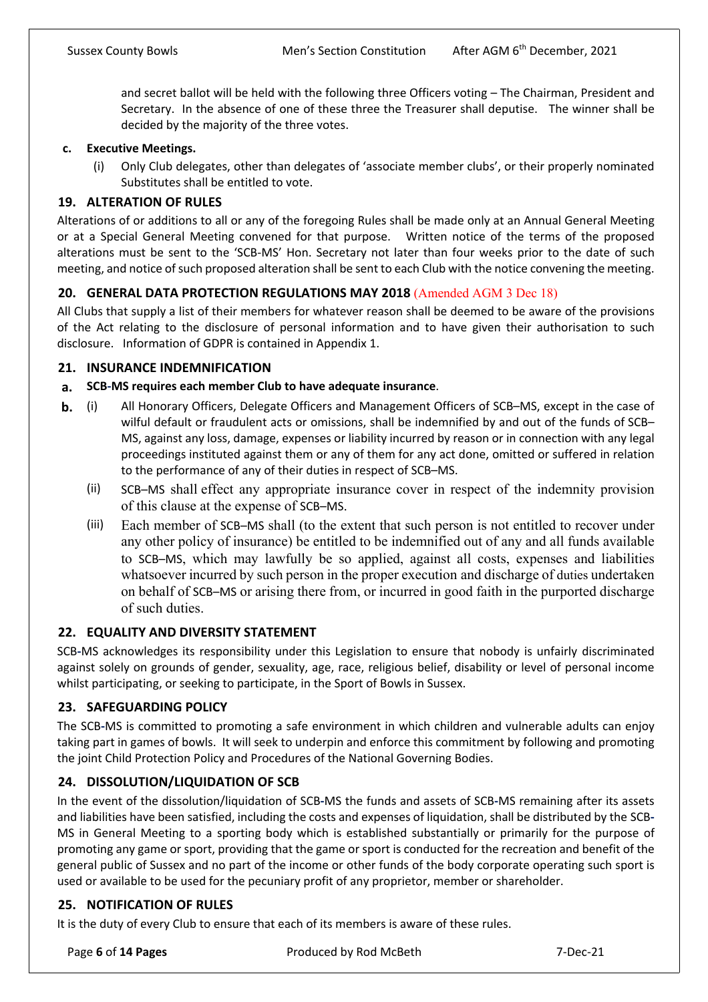and secret ballot will be held with the following three Officers voting – The Chairman, President and Secretary. In the absence of one of these three the Treasurer shall deputise. The winner shall be decided by the majority of the three votes.

### **c. Executive Meetings.**

(i) Only Club delegates, other than delegates of 'associate member clubs', or their properly nominated Substitutes shall be entitled to vote.

# **19. ALTERATION OF RULES**

Alterations of or additions to all or any of the foregoing Rules shall be made only at an Annual General Meeting or at a Special General Meeting convened for that purpose. Written notice of the terms of the proposed alterations must be sent to the 'SCB-MS' Hon. Secretary not later than four weeks prior to the date of such meeting, and notice of such proposed alteration shall be sent to each Club with the notice convening the meeting.

# **20. GENERAL DATA PROTECTION REGULATIONS MAY 2018** (Amended AGM 3 Dec 18)

All Clubs that supply a list of their members for whatever reason shall be deemed to be aware of the provisions of the Act relating to the disclosure of personal information and to have given their authorisation to such disclosure. Information of GDPR is contained in Appendix 1.

### **21. INSURANCE INDEMNIFICATION**

### **a. SCB-MS requires each member Club to have adequate insurance**.

- **b.** (i) All Honorary Officers, Delegate Officers and Management Officers of SCB–MS, except in the case of wilful default or fraudulent acts or omissions, shall be indemnified by and out of the funds of SCB-MS, against any loss, damage, expenses or liability incurred by reason or in connection with any legal proceedings instituted against them or any of them for any act done, omitted or suffered in relation to the performance of any of their duties in respect of SCB–MS.
	- (ii) SCB–MS shall effect any appropriate insurance cover in respect of the indemnity provision of this clause at the expense of SCB–MS.
	- (iii) Each member of SCB–MS shall (to the extent that such person is not entitled to recover under any other policy of insurance) be entitled to be indemnified out of any and all funds available to SCB–MS, which may lawfully be so applied, against all costs, expenses and liabilities whatsoever incurred by such person in the proper execution and discharge of duties undertaken on behalf of SCB–MS or arising there from, or incurred in good faith in the purported discharge of such duties.

### **22. EQUALITY AND DIVERSITY STATEMENT**

SCB**-**MS acknowledges its responsibility under this Legislation to ensure that nobody is unfairly discriminated against solely on grounds of gender, sexuality, age, race, religious belief, disability or level of personal income whilst participating, or seeking to participate, in the Sport of Bowls in Sussex.

### **23. SAFEGUARDING POLICY**

The SCB**-**MS is committed to promoting a safe environment in which children and vulnerable adults can enjoy taking part in games of bowls. It will seek to underpin and enforce this commitment by following and promoting the joint Child Protection Policy and Procedures of the National Governing Bodies.

### **24. DISSOLUTION/LIQUIDATION OF SCB**

In the event of the dissolution/liquidation of SCB**-**MS the funds and assets of SCB**-**MS remaining after its assets and liabilities have been satisfied, including the costs and expenses of liquidation, shall be distributed by the SCB**-**MS in General Meeting to a sporting body which is established substantially or primarily for the purpose of promoting any game or sport, providing that the game or sport is conducted for the recreation and benefit of the general public of Sussex and no part of the income or other funds of the body corporate operating such sport is used or available to be used for the pecuniary profit of any proprietor, member or shareholder.

### **25. NOTIFICATION OF RULES**

It is the duty of every Club to ensure that each of its members is aware of these rules.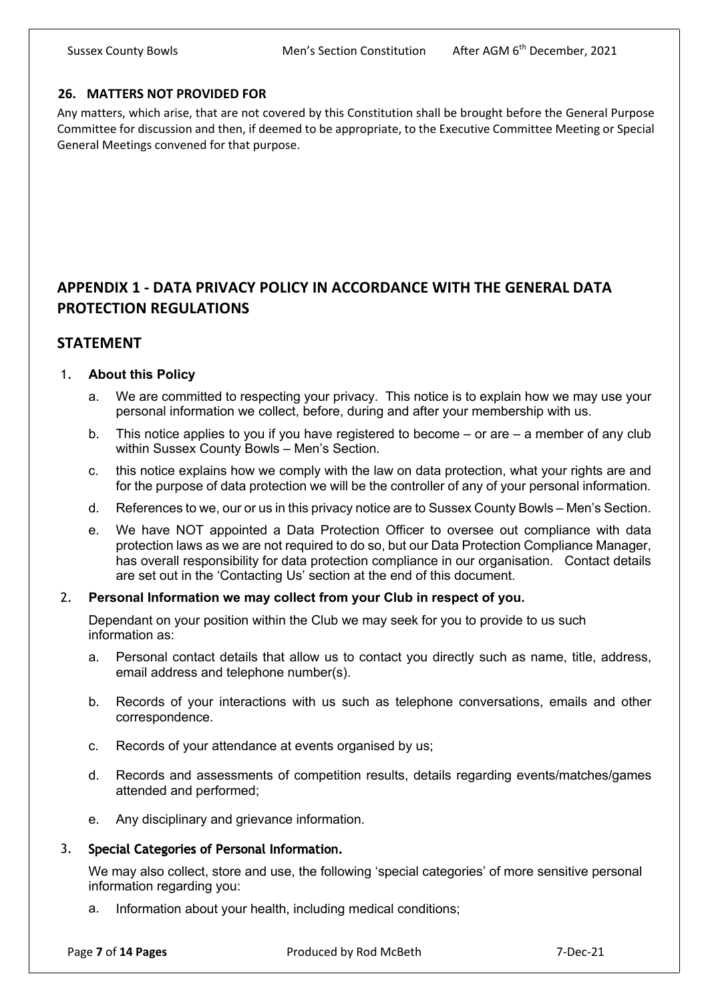## **26. MATTERS NOT PROVIDED FOR**

Any matters, which arise, that are not covered by this Constitution shall be brought before the General Purpose Committee for discussion and then, if deemed to be appropriate, to the Executive Committee Meeting or Special General Meetings convened for that purpose.

# **APPENDIX 1 - DATA PRIVACY POLICY IN ACCORDANCE WITH THE GENERAL DATA PROTECTION REGULATIONS**

# **STATEMENT**

# 1. **About this Policy**

- a. We are committed to respecting your privacy. This notice is to explain how we may use your personal information we collect, before, during and after your membership with us.
- b. This notice applies to you if you have registered to become or are a member of any club within Sussex County Bowls – Men's Section.
- c. this notice explains how we comply with the law on data protection, what your rights are and for the purpose of data protection we will be the controller of any of your personal information.
- d. References to we, our or us in this privacy notice are to Sussex County Bowls Men's Section.
- e. We have NOT appointed a Data Protection Officer to oversee out compliance with data protection laws as we are not required to do so, but our Data Protection Compliance Manager, has overall responsibility for data protection compliance in our organisation. Contact details are set out in the 'Contacting Us' section at the end of this document.

### 2. **Personal Information we may collect from your Club in respect of you.**

Dependant on your position within the Club we may seek for you to provide to us such information as:

- a. Personal contact details that allow us to contact you directly such as name, title, address, email address and telephone number(s).
- b. Records of your interactions with us such as telephone conversations, emails and other correspondence.
- c. Records of your attendance at events organised by us;
- d. Records and assessments of competition results, details regarding events/matches/games attended and performed;
- e. Any disciplinary and grievance information.

# 3. Special Categories of Personal Information.

We may also collect, store and use, the following 'special categories' of more sensitive personal information regarding you:

a. Information about your health, including medical conditions;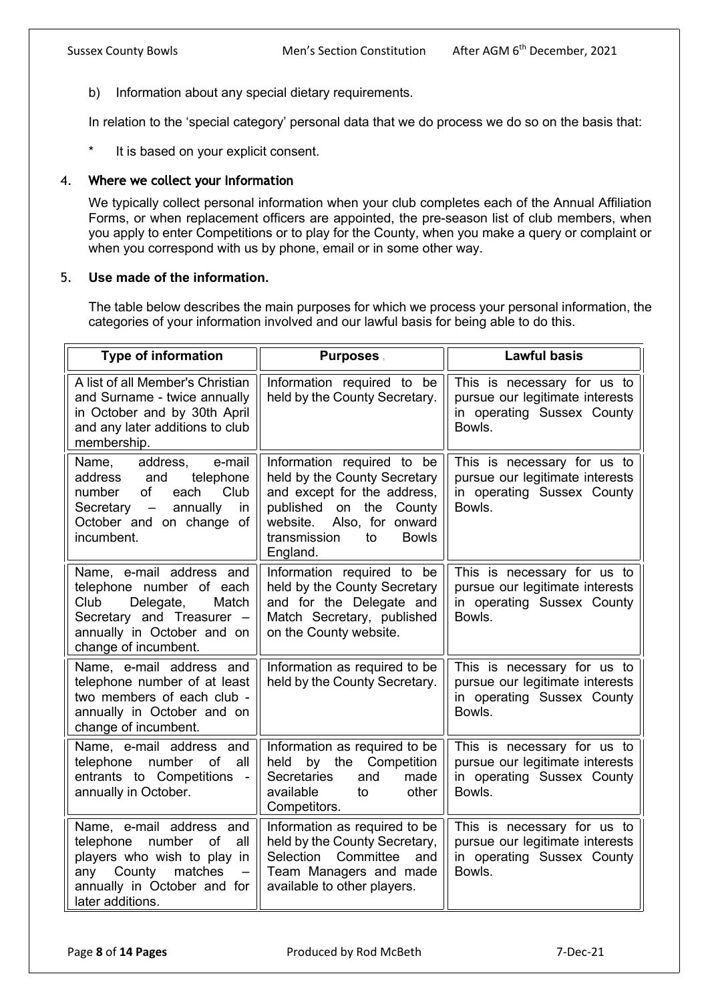b) Information about any special dietary requirements.

In relation to the 'special category' personal data that we do process we do so on the basis that:

\* It is based on your explicit consent.

### 4. Where we collect your Information

We typically collect personal information when your club completes each of the Annual Affiliation Forms, or when replacement officers are appointed, the pre-season list of club members, when you apply to enter Competitions or to play for the County, when you make a query or complaint or when you correspond with us by phone, email or in some other way.

#### 5. **Use made of the information.**

The table below describes the main purposes for which we process your personal information, the categories of your information involved and our lawful basis for being able to do this.

| <b>Type of information</b>                                                                                                                                                                          | <b>Purposes</b> .                                                                                                                                                                                      | <b>Lawful basis</b>                                                                                    |
|-----------------------------------------------------------------------------------------------------------------------------------------------------------------------------------------------------|--------------------------------------------------------------------------------------------------------------------------------------------------------------------------------------------------------|--------------------------------------------------------------------------------------------------------|
| A list of all Member's Christian<br>and Surname - twice annually<br>in October and by 30th April<br>and any later additions to club<br>membership.                                                  | Information required to be<br>held by the County Secretary.                                                                                                                                            | This is necessary for us to<br>pursue our legitimate interests<br>in operating Sussex County<br>Bowls. |
| e-mail<br>address,<br>Name,<br>and<br>telephone<br>address<br>of<br>each Club<br>number<br>Secretary -<br>annually<br>in<br>October and on change of<br>incumbent.                                  | Information required to be<br>held by the County Secretary<br>and except for the address,<br>published on the County<br>Also, for onward<br>website.<br>to<br><b>Bowls</b><br>transmission<br>England. | This is necessary for us to<br>pursue our legitimate interests<br>in operating Sussex County<br>Bowls. |
| Name, e-mail address and<br>telephone number of each<br>Club<br>Delegate,<br>Match<br>Secretary and Treasurer -<br>annually in October and on<br>change of incumbent.                               | Information required to be<br>held by the County Secretary<br>and for the Delegate and<br>Match Secretary, published<br>on the County website.                                                         | This is necessary for us to<br>pursue our legitimate interests<br>in operating Sussex County<br>Bowls. |
| Name, e-mail address and<br>telephone number of at least<br>two members of each club -<br>annually in October and on<br>change of incumbent.                                                        | Information as required to be<br>held by the County Secretary.                                                                                                                                         | This is necessary for us to<br>pursue our legitimate interests<br>in operating Sussex County<br>Bowls. |
| Name, e-mail address and<br>number<br>telephone<br>of<br>all<br>entrants to Competitions -<br>annually in October.                                                                                  | Information as required to be<br>by the Competition<br>held<br><b>Secretaries</b><br>and<br>made<br>other<br>available<br>to<br>Competitors.                                                           | This is necessary for us to<br>pursue our legitimate interests<br>in operating Sussex County<br>Bowls. |
| Name, e-mail address and<br>number<br>of<br>telephone<br>all<br>players who wish to play in<br>any County<br>matches<br>$\overline{\phantom{m}}$<br>annually in October and for<br>later additions. | Information as required to be<br>held by the County Secretary,<br>Selection Committee<br>and<br>Team Managers and made<br>available to other players.                                                  | This is necessary for us to<br>pursue our legitimate interests<br>in operating Sussex County<br>Bowls. |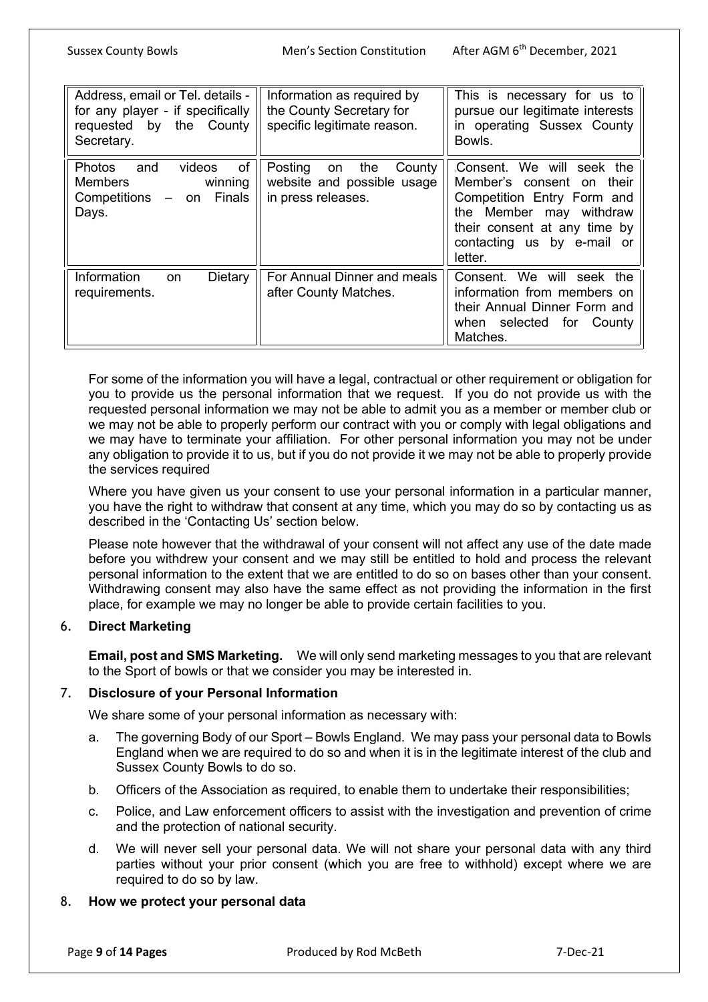Sussex County Bowls Men's Section Constitution After AGM 6th December, 2021

| Address, email or Tel. details -<br>for any player - if specifically<br>requested by the County<br>Secretary. | Information as required by<br>the County Secretary for<br>specific legitimate reason. | This is necessary for us to<br>pursue our legitimate interests<br>in operating Sussex County<br>Bowls.                                                                                   |
|---------------------------------------------------------------------------------------------------------------|---------------------------------------------------------------------------------------|------------------------------------------------------------------------------------------------------------------------------------------------------------------------------------------|
| of<br>videos<br><b>Photos</b><br>and<br>Members<br>winning<br>- on Finals<br>Competitions<br>Days.            | Posting<br>the<br>County<br>on<br>website and possible usage<br>in press releases.    | Consent. We will seek the<br>Member's consent on their<br>Competition Entry Form and<br>the Member may withdraw<br>their consent at any time by<br>contacting us by e-mail or<br>letter. |
| Information<br>Dietary<br><b>on</b><br>requirements.                                                          | For Annual Dinner and meals<br>after County Matches.                                  | Consent. We will seek the<br>information from members on<br>their Annual Dinner Form and<br>when selected for<br>County<br>Matches.                                                      |

For some of the information you will have a legal, contractual or other requirement or obligation for you to provide us the personal information that we request. If you do not provide us with the requested personal information we may not be able to admit you as a member or member club or we may not be able to properly perform our contract with you or comply with legal obligations and we may have to terminate your affiliation. For other personal information you may not be under any obligation to provide it to us, but if you do not provide it we may not be able to properly provide the services required

Where you have given us your consent to use your personal information in a particular manner, you have the right to withdraw that consent at any time, which you may do so by contacting us as described in the 'Contacting Us' section below.

Please note however that the withdrawal of your consent will not affect any use of the date made before you withdrew your consent and we may still be entitled to hold and process the relevant personal information to the extent that we are entitled to do so on bases other than your consent. Withdrawing consent may also have the same effect as not providing the information in the first place, for example we may no longer be able to provide certain facilities to you.

# 6. **Direct Marketing**

**Email, post and SMS Marketing.** We will only send marketing messages to you that are relevant to the Sport of bowls or that we consider you may be interested in.

### 7. **Disclosure of your Personal Information**

We share some of your personal information as necessary with:

- a. The governing Body of our Sport Bowls England. We may pass your personal data to Bowls England when we are required to do so and when it is in the legitimate interest of the club and Sussex County Bowls to do so.
- b. Officers of the Association as required, to enable them to undertake their responsibilities;
- c. Police, and Law enforcement officers to assist with the investigation and prevention of crime and the protection of national security.
- d. We will never sell your personal data. We will not share your personal data with any third parties without your prior consent (which you are free to withhold) except where we are required to do so by law.

### 8. **How we protect your personal data**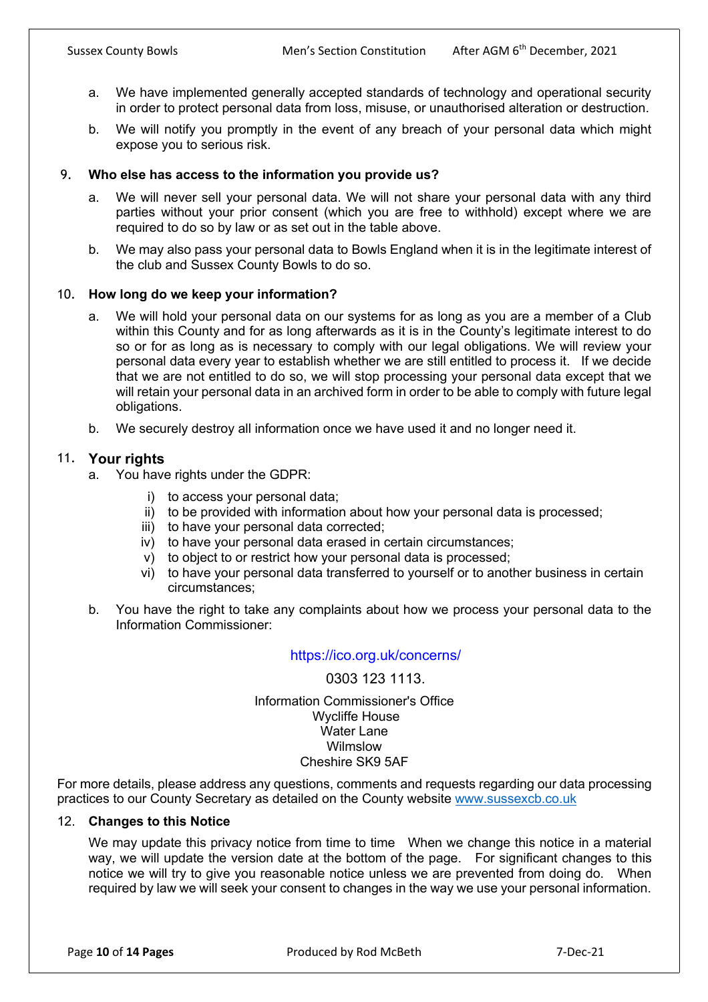- a. We have implemented generally accepted standards of technology and operational security in order to protect personal data from loss, misuse, or unauthorised alteration or destruction.
- b. We will notify you promptly in the event of any breach of your personal data which might expose you to serious risk.

## 9. **Who else has access to the information you provide us?**

- a. We will never sell your personal data. We will not share your personal data with any third parties without your prior consent (which you are free to withhold) except where we are required to do so by law or as set out in the table above.
- b. We may also pass your personal data to Bowls England when it is in the legitimate interest of the club and Sussex County Bowls to do so.

### 10. **How long do we keep your information?**

- a. We will hold your personal data on our systems for as long as you are a member of a Club within this County and for as long afterwards as it is in the County's legitimate interest to do so or for as long as is necessary to comply with our legal obligations. We will review your personal data every year to establish whether we are still entitled to process it. If we decide that we are not entitled to do so, we will stop processing your personal data except that we will retain your personal data in an archived form in order to be able to comply with future legal obligations.
- b. We securely destroy all information once we have used it and no longer need it.

### 11. **Your rights**

- a. You have rights under the GDPR:
	- i) to access your personal data;
	- ii) to be provided with information about how your personal data is processed;
	- iii) to have your personal data corrected;
	- iv) to have your personal data erased in certain circumstances;
	- v) to object to or restrict how your personal data is processed;
	- vi) to have your personal data transferred to yourself or to another business in certain circumstances;
- b. You have the right to take any complaints about how we process your personal data to the Information Commissioner:

### https://ico.org.uk/concerns/

### 0303 123 1113.

#### Information Commissioner's Office Wycliffe House Water Lane Wilmslow Cheshire SK9 5AF

For more details, please address any questions, comments and requests regarding our data processing practices to our County Secretary as detailed on the County website www.sussexcb.co.uk

#### 12. **Changes to this Notice**

We may update this privacy notice from time to time When we change this notice in a material way, we will update the version date at the bottom of the page. For significant changes to this notice we will try to give you reasonable notice unless we are prevented from doing do. When required by law we will seek your consent to changes in the way we use your personal information.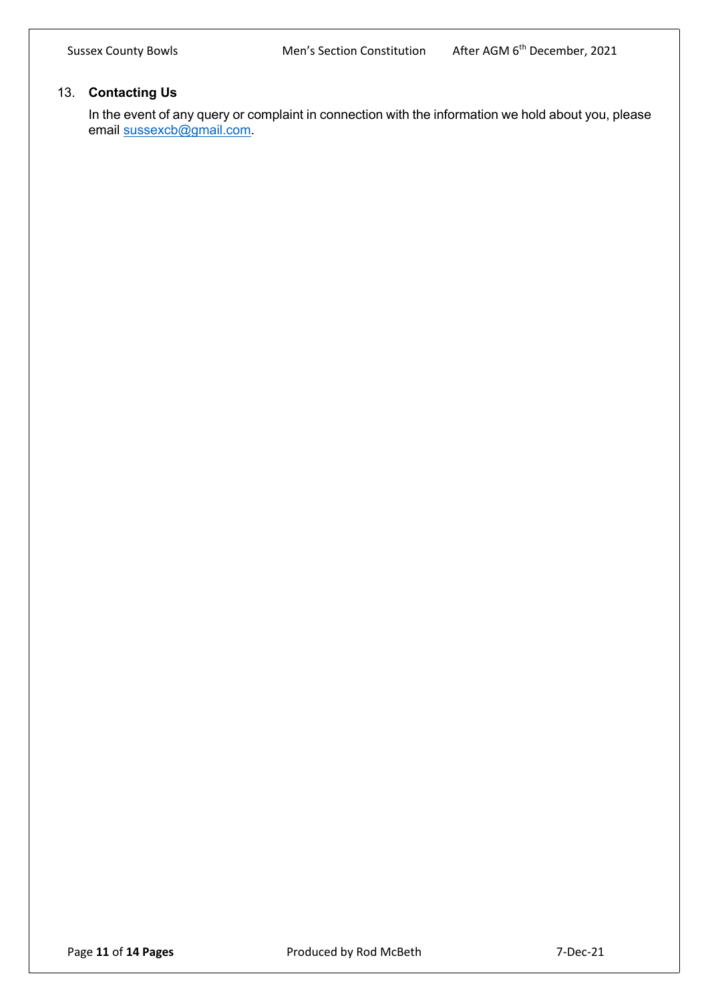# 13. **Contacting Us**

In the event of any query or complaint in connection with the information we hold about you, please email sussexcb@gmail.com.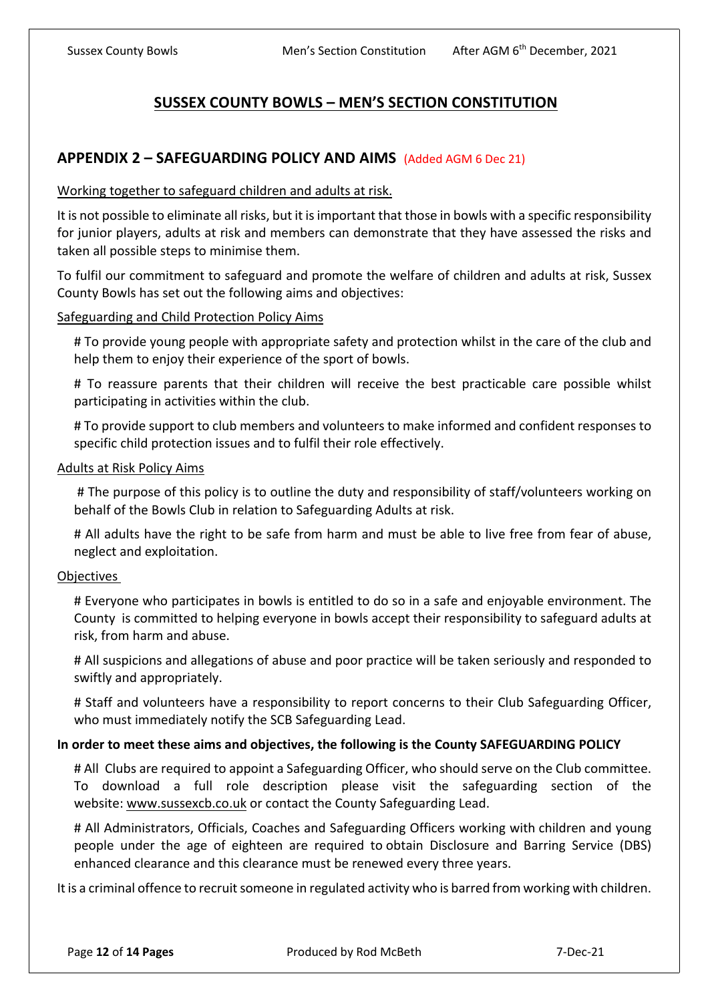# **SUSSEX COUNTY BOWLS – MEN'S SECTION CONSTITUTION**

# **APPENDIX 2 – SAFEGUARDING POLICY AND AIMS** (Added AGM 6 Dec 21)

### Working together to safeguard children and adults at risk.

It is not possible to eliminate all risks, but it is important that those in bowls with a specific responsibility for junior players, adults at risk and members can demonstrate that they have assessed the risks and taken all possible steps to minimise them.

To fulfil our commitment to safeguard and promote the welfare of children and adults at risk, Sussex County Bowls has set out the following aims and objectives:

### Safeguarding and Child Protection Policy Aims

# To provide young people with appropriate safety and protection whilst in the care of the club and help them to enjoy their experience of the sport of bowls.

# To reassure parents that their children will receive the best practicable care possible whilst participating in activities within the club.

# To provide support to club members and volunteers to make informed and confident responses to specific child protection issues and to fulfil their role effectively.

### Adults at Risk Policy Aims

# The purpose of this policy is to outline the duty and responsibility of staff/volunteers working on behalf of the Bowls Club in relation to Safeguarding Adults at risk.

# All adults have the right to be safe from harm and must be able to live free from fear of abuse, neglect and exploitation.

### **Objectives**

# Everyone who participates in bowls is entitled to do so in a safe and enjoyable environment. The County is committed to helping everyone in bowls accept their responsibility to safeguard adults at risk, from harm and abuse.

# All suspicions and allegations of abuse and poor practice will be taken seriously and responded to swiftly and appropriately.

# Staff and volunteers have a responsibility to report concerns to their Club Safeguarding Officer, who must immediately notify the SCB Safeguarding Lead.

### **In order to meet these aims and objectives, the following is the County SAFEGUARDING POLICY**

# All Clubs are required to appoint a Safeguarding Officer, who should serve on the Club committee. To download a full role description please visit the safeguarding section of the website: www.sussexcb.co.uk or contact the County Safeguarding Lead.

# All Administrators, Officials, Coaches and Safeguarding Officers working with children and young people under the age of eighteen are required to obtain Disclosure and Barring Service (DBS) enhanced clearance and this clearance must be renewed every three years.

It is a criminal offence to recruit someone in regulated activity who is barred from working with children.